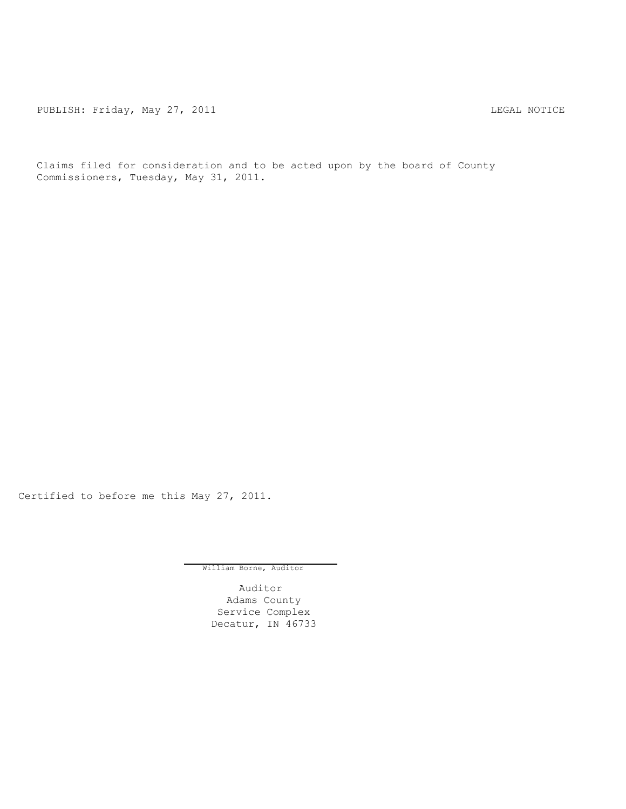PUBLISH: Friday, May 27, 2011 **LEGAL ROTICE** 

Claims filed for consideration and to be acted upon by the board of County Commissioners, Tuesday, May 31, 2011.

Certified to before me this May 27, 2011.

William Borne, Auditor

Auditor Adams County Service Complex Decatur, IN 46733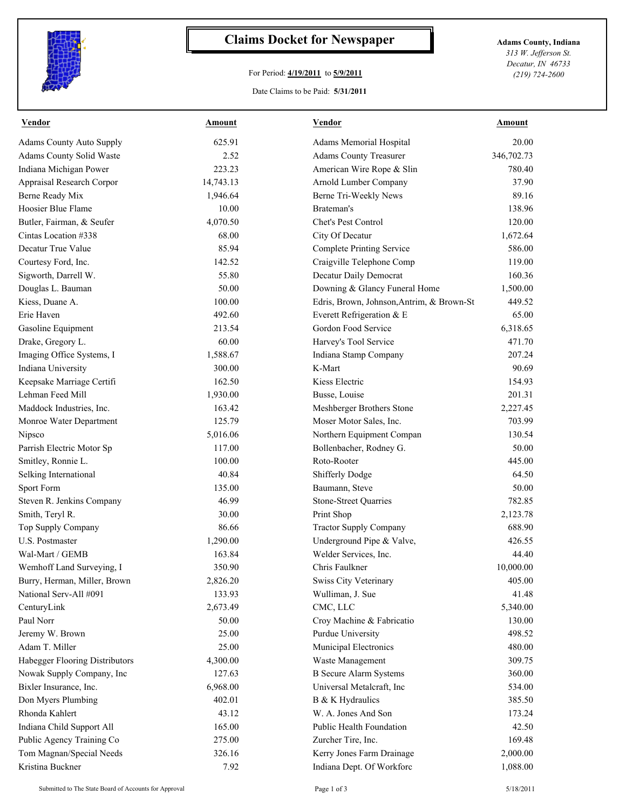

## **Claims Docket for Newspaper Adams County, Indiana**

## For Period: **4/19/2011** to **5/9/2011**

Date Claims to be Paid: **5/31/2011**

*313 W. Jefferson St. Decatur, IN 46733 (219) 724-2600*

| <b>Vendor</b>                   | <u>Amount</u> | <b>Vendor</b>                             | <b>Amount</b> |
|---------------------------------|---------------|-------------------------------------------|---------------|
| <b>Adams County Auto Supply</b> | 625.91        | Adams Memorial Hospital                   | 20.00         |
| Adams County Solid Waste        | 2.52          | <b>Adams County Treasurer</b>             | 346,702.73    |
| Indiana Michigan Power          | 223.23        | American Wire Rope & Slin                 | 780.40        |
| Appraisal Research Corpor       | 14,743.13     | Arnold Lumber Company                     | 37.90         |
| Berne Ready Mix                 | 1,946.64      | Berne Tri-Weekly News                     | 89.16         |
| Hoosier Blue Flame              | 10.00         | Brateman's                                | 138.96        |
| Butler, Fairman, & Seufer       | 4,070.50      | Chet's Pest Control                       | 120.00        |
| Cintas Location #338            | 68.00         | City Of Decatur                           | 1,672.64      |
| Decatur True Value              | 85.94         | Complete Printing Service                 | 586.00        |
| Courtesy Ford, Inc.             | 142.52        | Craigville Telephone Comp                 | 119.00        |
| Sigworth, Darrell W.            | 55.80         | Decatur Daily Democrat                    | 160.36        |
| Douglas L. Bauman               | 50.00         | Downing & Glancy Funeral Home             | 1,500.00      |
| Kiess, Duane A.                 | 100.00        | Edris, Brown, Johnson, Antrim, & Brown-St | 449.52        |
| Erie Haven                      | 492.60        | Everett Refrigeration & E                 | 65.00         |
| Gasoline Equipment              | 213.54        | Gordon Food Service                       | 6,318.65      |
| Drake, Gregory L.               | 60.00         | Harvey's Tool Service                     | 471.70        |
| Imaging Office Systems, I       | 1,588.67      | Indiana Stamp Company                     | 207.24        |
| Indiana University              | 300.00        | K-Mart                                    | 90.69         |
| Keepsake Marriage Certifi       | 162.50        | Kiess Electric                            | 154.93        |
| Lehman Feed Mill                | 1,930.00      | Busse, Louise                             | 201.31        |
| Maddock Industries, Inc.        | 163.42        | Meshberger Brothers Stone                 | 2,227.45      |
| Monroe Water Department         | 125.79        | Moser Motor Sales, Inc.                   | 703.99        |
| Nipsco                          | 5,016.06      | Northern Equipment Compan                 | 130.54        |
| Parrish Electric Motor Sp       | 117.00        | Bollenbacher, Rodney G.                   | 50.00         |
| Smitley, Ronnie L.              | 100.00        | Roto-Rooter                               | 445.00        |
| Selking International           | 40.84         | <b>Shifferly Dodge</b>                    | 64.50         |
| Sport Form                      | 135.00        | Baumann, Steve                            | 50.00         |
| Steven R. Jenkins Company       | 46.99         | <b>Stone-Street Quarries</b>              | 782.85        |
| Smith, Teryl R.                 | 30.00         | Print Shop                                | 2,123.78      |
| Top Supply Company              | 86.66         | <b>Tractor Supply Company</b>             | 688.90        |
| U.S. Postmaster                 | 1,290.00      | Underground Pipe & Valve,                 | 426.55        |
| Wal-Mart / GEMB                 | 163.84        | Welder Services, Inc.                     | 44.40         |
| Wemhoff Land Surveying, I       | 350.90        | Chris Faulkner                            | 10,000.00     |
| Burry, Herman, Miller, Brown    | 2,826.20      | Swiss City Veterinary                     | 405.00        |
| National Serv-All #091          | 133.93        | Wulliman, J. Sue                          | 41.48         |
| CenturyLink                     | 2,673.49      | CMC, LLC                                  | 5,340.00      |
| Paul Norr                       | 50.00         | Croy Machine & Fabricatio                 | 130.00        |
| Jeremy W. Brown                 | 25.00         | Purdue University                         | 498.52        |
| Adam T. Miller                  | 25.00         | Municipal Electronics                     | 480.00        |
| Habegger Flooring Distributors  | 4,300.00      | Waste Management                          | 309.75        |
| Nowak Supply Company, Inc       | 127.63        | <b>B</b> Secure Alarm Systems             | 360.00        |
| Bixler Insurance, Inc.          | 6,968.00      | Universal Metalcraft, Inc                 | 534.00        |
| Don Myers Plumbing              | 402.01        | B & K Hydraulics                          | 385.50        |
| Rhonda Kahlert                  | 43.12         | W. A. Jones And Son                       | 173.24        |
| Indiana Child Support All       | 165.00        | Public Health Foundation                  | 42.50         |
| Public Agency Training Co       | 275.00        | Zurcher Tire, Inc.                        | 169.48        |
| Tom Magnan/Special Needs        | 326.16        | Kerry Jones Farm Drainage                 | 2,000.00      |
|                                 |               |                                           |               |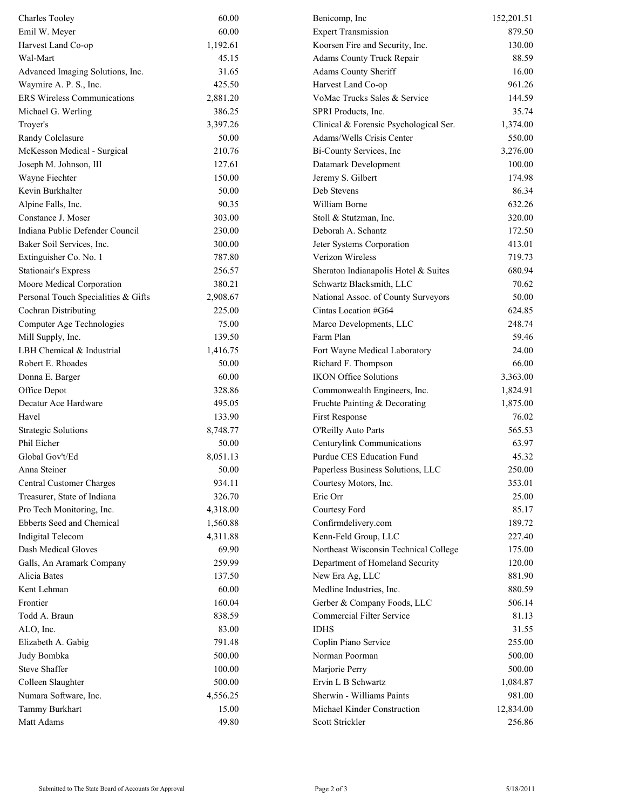| <b>Charles Tooley</b>               | 60.00    | Benicomp, Inc                          | 152,201.51 |
|-------------------------------------|----------|----------------------------------------|------------|
| Emil W. Meyer                       | 60.00    | <b>Expert Transmission</b>             | 879.50     |
| Harvest Land Co-op                  | 1,192.61 | Koorsen Fire and Security, Inc.        | 130.00     |
| Wal-Mart                            | 45.15    | Adams County Truck Repair              | 88.59      |
| Advanced Imaging Solutions, Inc.    | 31.65    | Adams County Sheriff                   | 16.00      |
| Waymire A. P. S., Inc.              | 425.50   | Harvest Land Co-op                     | 961.26     |
| <b>ERS Wireless Communications</b>  | 2,881.20 | VoMac Trucks Sales & Service           | 144.59     |
| Michael G. Werling                  | 386.25   | SPRI Products, Inc.                    | 35.74      |
| Troyer's                            | 3,397.26 | Clinical & Forensic Psychological Ser. | 1,374.00   |
| Randy Colclasure                    | 50.00    | Adams/Wells Crisis Center              | 550.00     |
| McKesson Medical - Surgical         | 210.76   | Bi-County Services, Inc                | 3,276.00   |
| Joseph M. Johnson, III              | 127.61   | Datamark Development                   | 100.00     |
| Wayne Fiechter                      | 150.00   | Jeremy S. Gilbert                      | 174.98     |
| Kevin Burkhalter                    | 50.00    | Deb Stevens                            | 86.34      |
| Alpine Falls, Inc.                  | 90.35    | William Borne                          | 632.26     |
| Constance J. Moser                  | 303.00   | Stoll & Stutzman, Inc.                 | 320.00     |
| Indiana Public Defender Council     | 230.00   | Deborah A. Schantz                     | 172.50     |
| Baker Soil Services, Inc.           | 300.00   | Jeter Systems Corporation              | 413.01     |
| Extinguisher Co. No. 1              | 787.80   | Verizon Wireless                       | 719.73     |
| <b>Stationair's Express</b>         | 256.57   | Sheraton Indianapolis Hotel & Suites   | 680.94     |
| Moore Medical Corporation           | 380.21   | Schwartz Blacksmith, LLC               | 70.62      |
| Personal Touch Specialities & Gifts | 2,908.67 | National Assoc. of County Surveyors    | 50.00      |
| Cochran Distributing                | 225.00   | Cintas Location #G64                   | 624.85     |
| Computer Age Technologies           | 75.00    | Marco Developments, LLC                | 248.74     |
| Mill Supply, Inc.                   | 139.50   | Farm Plan                              | 59.46      |
| LBH Chemical & Industrial           | 1,416.75 | Fort Wayne Medical Laboratory          | 24.00      |
| Robert E. Rhoades                   | 50.00    | Richard F. Thompson                    | 66.00      |
| Donna E. Barger                     | 60.00    | <b>IKON Office Solutions</b>           | 3,363.00   |
| Office Depot                        | 328.86   | Commonwealth Engineers, Inc.           | 1,824.91   |
| Decatur Ace Hardware                | 495.05   | Fruchte Painting & Decorating          | 1,875.00   |
| Havel                               | 133.90   | First Response                         | 76.02      |
| <b>Strategic Solutions</b>          | 8,748.77 | O'Reilly Auto Parts                    | 565.53     |
| Phil Eicher                         | 50.00    | Centurylink Communications             | 63.97      |
| Global Gov't/Ed                     | 8,051.13 | Purdue CES Education Fund              | 45.32      |
| Anna Steiner                        | 50.00    | Paperless Business Solutions, LLC      | 250.00     |
| Central Customer Charges            | 934.11   | Courtesy Motors, Inc.                  | 353.01     |
| Treasurer, State of Indiana         | 326.70   | Eric Orr                               | 25.00      |
| Pro Tech Monitoring, Inc.           | 4,318.00 | Courtesy Ford                          | 85.17      |
| Ebberts Seed and Chemical           | 1,560.88 | Confirmdelivery.com                    | 189.72     |
| <b>Indigital Telecom</b>            | 4,311.88 | Kenn-Feld Group, LLC                   | 227.40     |
| Dash Medical Gloves                 | 69.90    | Northeast Wisconsin Technical College  | 175.00     |
| Galls, An Aramark Company           | 259.99   | Department of Homeland Security        | 120.00     |
| Alicia Bates                        | 137.50   | New Era Ag, LLC                        | 881.90     |
| Kent Lehman                         | 60.00    | Medline Industries, Inc.               | 880.59     |
| Frontier                            | 160.04   | Gerber & Company Foods, LLC            | 506.14     |
| Todd A. Braun                       | 838.59   | Commercial Filter Service              | 81.13      |
| ALO, Inc.                           | 83.00    | <b>IDHS</b>                            | 31.55      |
| Elizabeth A. Gabig                  | 791.48   | Coplin Piano Service                   | 255.00     |
| Judy Bombka                         | 500.00   | Norman Poorman                         | 500.00     |
| <b>Steve Shaffer</b>                | 100.00   | Marjorie Perry                         | 500.00     |
| Colleen Slaughter                   | 500.00   | Ervin L B Schwartz                     | 1,084.87   |
| Numara Software, Inc.               | 4,556.25 | Sherwin - Williams Paints              | 981.00     |
| Tammy Burkhart                      | 15.00    | Michael Kinder Construction            | 12,834.00  |
| Matt Adams                          | 49.80    | Scott Strickler                        | 256.86     |